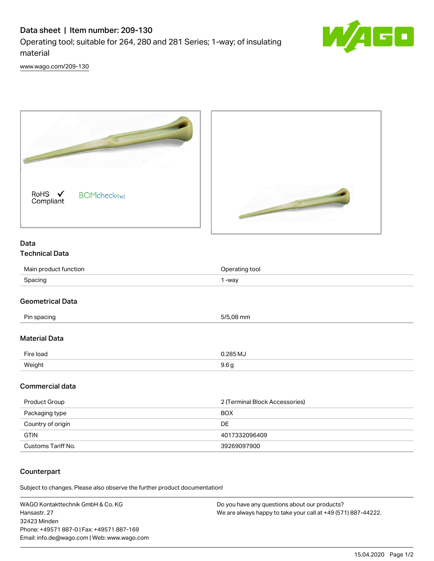# Data sheet | Item number: 209-130 Operating tool; suitable for 264, 280 and 281 Series; 1-way; of insulating material



[www.wago.com/209-130](http://www.wago.com/209-130)



### Data Technical Data

| Main<br>unction    | tool |
|--------------------|------|
| Spacing<br>opuonig | -way |

## Geometrical Data

| Pin spacing          | 5/5,08 mm        |  |
|----------------------|------------------|--|
| <b>Material Data</b> |                  |  |
| Fire load            | $0.285$ MJ       |  |
| Weight               | 9.6 <sub>g</sub> |  |

## Commercial data

| Product Group      | 2 (Terminal Block Accessories) |
|--------------------|--------------------------------|
| Packaging type     | <b>BOX</b>                     |
| Country of origin  | DE                             |
| <b>GTIN</b>        | 4017332096409                  |
| Customs Tariff No. | 39269097900                    |

## **Counterpart**

Subject to changes. Please also observe the further product documentation!

WAGO Kontakttechnik GmbH & Co. KG Hansastr. 27 32423 Minden Phone: +49571 887-0 | Fax: +49571 887-169 Email: info.de@wago.com | Web: www.wago.com Do you have any questions about our products? We are always happy to take your call at +49 (571) 887-44222.